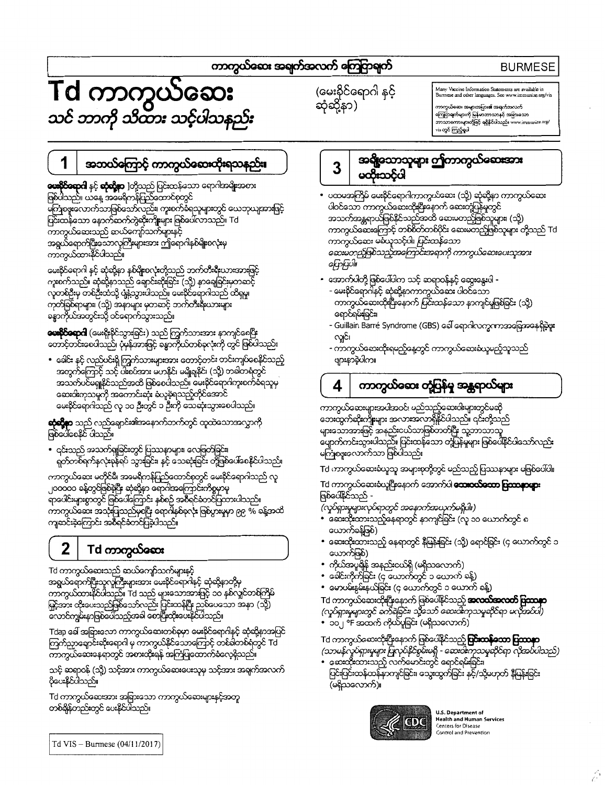## ကာကွယ်လေး အရက်အလက် ကြေငြာရက်

# **BURMESE**

# Td ကာကွယ်ဆေး<br>သင် ဘာကို သိထား သင့်ပါသနည်း

(မေးနိင်ရောဂါ နင့် ဆုံဆို့နာ)

# Many Vaccine Information Statements are available in<br>Burmese and other languages. See www.immunize.org

ကာကွယ်ဆေး အများအပြား**ခ**ါအရက်အလက်<br>ကြော ကြေဌာရက်များကို မြန်မာဘာသာနှင့် အ<u>ရ</u>ြားသော .<br>ns တွင် ကြည့်ရှုပါ

#### 1 အဘယ်ကြောင့် ကာကွယ်ဆေးထိုးရသနည်း။

**ယေးဝိုင်ရောဂါ** နှင့် **ဆုံသို့နာ** ]တို့သည် ပြင်းထန်သော ရောဂါအမိ**ုး**အစား ဖြစ်ပါသည်။ ယနေ့ အမေရိကန်ပြည်ထောင်စုတွင် မြစစ်နေသောက်သာဖြစ်သော်လည်း၊ ကူးစက်စိရသူများတွင် ယေဘုယျအားဖြင့် ပြင်းထန်သော နောက်ဆက်တွဲဆိုကျိုးများ ဖြစ်ပေါ်လာသည်။ Td .<br>ကာကွယ်ဆေးသည် ဆယ်ကျော်သက်များနှင့် အရွယ်ရောက်ပြီးသောလူကြီးများအား ဤရောဂါနစ်မျိုးစလုံးမှ ကာကွယ်ထားနိုင်ပါသည်။

မေးနိုင်ရောဂါ နှင့် ဆုံဆို့နာ နှစ်မျိုးစလုံးတို့သည် ဘက်တီးရီးယားအားဖြင့် ကူးစက်သည်။ ဆုံဆိုနာသည် ရောင်းဆုံးခြင်း (သို့) နာချေခြင်းမှတဆင့် လူတစ်ဦးမှ တစ်ဦးထံသို့ ပျံနဲ့သွားပါသည်။ မေးနိုင်ရောဂါသည် ထိရုမှု၊ ကုတ်ခြစ်ရာများ၊ (သို့) အနာများ မှတဆင့် ဘက်တီးရီးယားများ ခန္ဓာကိုယ်အတွင်းသို့ ဝင်ရောက်သွားသည်။

**ယေးငိုင်နောဂါ** (မေးရိုးနိုင်သွားခြင်း) သည် ကြွက်သားအား နာကျင်စေပြီး<br>တောင့်တင်းစေပါသည်၊ ပုံမှန်အားဖြင့် စန္ဓာကိုယ်တစ်ခုလုံးကို တွင် ဖြစ်ပါသည်။

• ခေါင်း နှင့် လည်ပင်းရှိ ကြွက်သားများအား တောင့်တင်း တင်းကျပ်စေနိုင်သည့် အတွက်ကြောင့် သင့် ပါးစပ်အား မဟနိုင်၊ မမျိုချနိုင်၊ (သို့) တခါတရံတွင် အသက်ပင်မရှုနိုင်သည်အထိ ဖြစ်စေပါသည်။ မေးနိုင်ရောဂါကူးစက်ခံရသူမှ ဆေးဝါးကုသမှုကို အတောင်းဆုံး ခံယူခဲ့ရသည့်တိုင်အောင် မေးနိုင်ရောဂါသည် လူ ၁ဝ ဦးတွင် ၁ ဦးကို သေဆုံးသွားစေပါသည်။

**ဆုံဆို့နာ** သည် လည်ချောင်း၏အနောက်ဘက်တွင် ထူထဲသောအလွှာကို ဖြစ်ပေါ်စေနိုင် ပါသည်။

• ၎င်းသည် အသက်ရှုခြင်းတွင် ပြဿနာများ၊ လေဇြတ်ခြင်း၊ ရှတ်တစ်ရက်နှလုံးခုန်ရပ် သွားခြင်း၊ နှင့် သေဆုံးခြင်း တို့ဖြစ်ပေါ်စေနိုင်ပါသည်။

ကာကွယ်ဆေး မတိုင်မီ၊ အမေရိကန်ပြည်ထောင်စုတွင် မေးနိုင်ရောဂါသည် လူ ၂၀၀၀၀ ခန့်တွင်ဖြစ်နဲ့ပြီး ဆုံဆိုနာ ရောဂါအကြောင်းကိစ္စမှာမူ ရာပေါင်းများစွာတွင် ဖြစ်ပေါ်ကြောင်း နှစ်စဉ် အစီရင်သောင်ပြထားပါသည်။ ကာကွယ်ဆေး အသုံးပြသည်မှစပြီး ရောဂါနှစ်နှလုံး ဖြစ်ပွားမှုမှာ ၉၉ % ခန့်အထိ<br>ကျဆင်းနဲ့ကြောင်း အစီရင်ခံတင်ပြနဲ့ပါသည်။

#### $\overline{2}$ Td ကာကွယ်**လေး**

Td ကာကွယ်ဆေးသည် ဆယ်ကျော်သက်များနှင့် အရွယ်ရောက်ပြီးသူလူကြီးများအား မေးနိုင်ရောဂါနှင့် ဆုံဆိုနာတို့မှ က္ခတ္မယ်ထားနိုင်ပါသည်။ Td သည် များသောအားဖြင့် ၁၀ နှစ်လှူင်တစ်ကြိမ် မြှင့်အား ထိုးပေးသည်ဖြစ်သော်လည်း ပြင်းထန်ပြီး ညစ်ပေသော အနာ (သို့) လောင်ကျမ်းနာဖြစ်ပေါ်သည့်အခါ တေပြီးထိုးပေးနိုင်ပါသည်။

Tdap ခေါ် အခြားသော ကာကွယ်ဆေးတစ်ခုမှာ မေးခိုင်ရောဂါနှင့် ဆုံဆို့နာအပြင် ကြက်ညှာချောင်းဆိုးရောဂါ မှ ကာကွယ်နိုင်သောကြောင့် တစ်ခါတစ်ရတွင် Td ကာကွယ်ဆေးနေရာတွင် အစားထိုးရန် အကြံပြထောက်ခံလေ့ရှိသည်။

သင့် ဆရာဝန် (သို့) သင့်အား ကာကွယ်ဆေးပေးသူမှ သင့်အား အချက်အလက် ငိုပေးနိုင်ပါသည်။

Td ကာကွယ်ဆေးအား အခြားသော ကာကွယ်ဆေးများနှင့်အတူ တစ်ချိန်တည်းတွင် ပေးနိုင်ပါသည်။

#### အရွိသောသူများ ဤကာကွယ်သေးအား  $\overline{3}$ မထိသင်ပါ

- ပထမအကြိမ် မေးနိုင်ရောဂါကာကွယ်ဆေး (သို့) ဆုံဆို့နာ ကာကွယ်ဆေး ပါဝင်သော ကာကွယ်ဆေးထိုးပြီးနောက် ဆေးတူပြန်မှုတွင် အသက်အန္တရာယ်ဖြစ်နိုင်သည်အထိ ဆေးမတည်ဖြစ်သူများ၊ (သို့) ကာကွယ်ဆေး မလျေသင့်ပါ။ *ပြင်းထန်သော* ဆေးမိတည့်ဖြစ်သည့်အကြောင်းအရာကို ကာကွယ်ဆေးပေးသူအား  $G$
- အောက်ပါတို့ဖြစ်ပေါ်ပါက သင့် ဆရာဝန်နှင့် ဆွေးနွေးပါ -
	- မေးနိုင်ရောဂါနှင့် ဆုံဆို့နာကာကွယ်ဆေး ပါဝင်သော ကာကွယ်ဆေးထုံးပြီးနောက် ပြင်းထန်သော နာကျင်မှုဖြစ်ခြင်း (သို့) ရောင်ရမ်းခြင်း၊
	- Guillain Barré Syndrome (GBS) ခေါ် ရောဂါလက္ခဏာအခြေအနေရှိခဲ့ဖူး လှုင်၊
	- ကာကွယ်ဆေးထိုးရမည့်နေ့တွင် ကာကွယ်ဆေးခံယူမည့်သူသည် ဖျားနာနဲ့ပါက။

#### ကာကွယ်ဆေး တုံ့ပြန်မှ အန္တရာယ်များ 4

ကာကွယ်ဆေးများအပါအဝင်၊ မည်သည့်ဆေးဝါးများတွင်မဆို<br>ဘေးထွက်ဆိုးကျိုးများ အလားအလာရှိနိုင်ပါသည်။ ၎င်းတို့သည် များသောအားဖြင့် အနည်းငယ်သာဖြစ်တတ်ပြီး သူ့ဘာသာသူ ယျောက်ကင်းသွားပါသည်။ ပြင်းထန်သော တုံပြန်မှုများ ဖြစ်ပေါ်နိုင်ပါသော်လည်း မကြုံစဖူးလောက်သာ ဖြစ်ပါသည်။

Td ကာကွယ်ဆေးခံယူသူ အများစုတို့တွင် မည်သည့် ပြဿနာများ မဖြစ်ပေါ်ပါ။

Td ကာကွယ်ဆေးခံယူပြီးနောက် အောက်ပါ **သေးဝယ်သော ပြဿနာများ** ဖြစ်ပေါ်နိုင်သည် -

- *(လှုပ်ရှားမှုများလုပ်ရာတွင် အနောက်အယှက်မရှိပါ။)*<br>• ဆေးထိုးထားသည့်နေရာတွင် နာကျင်ခြင်း (လူ ၁ဝ ယောက်တွင် ၈ ယောက်ခန့်ဖြစ်)
- ဆေးထိုးထားသည့် နေရာတွင် နီမြန်းခြင်း (သို့) ရောင်ခြင်း (၄ ယောက်တွင် ၁ ယောက်ဖြစ်)
- ကိုယ်အပူချိန် အနည်းငယ်ရှိ (မရှိသလောက်)
- ခေါင်းကိုက်ခြင်း (၄ ယောက်တွင် ၁ ယောက် ခန့်)
- မောပမ်းနွမ်းနယ်ခြင်း (၄ ယောက်တွင် ၁ ယောက် ခန့်)

Td ကာကွယ်ဆေးထိုးပြီးနောက် ဖြစ်ပေါ်နိုင်သည့် **အလယ်အလတ် ပြဿနာ** (လှုပ်ရှားမှုများတွင် ခက်ခဲခြင်း၊ သို့သော် ဆေးဝါးကုသမှုဆိုင်ရာ မလိုအင်ပါ)

• <sup>"</sup>၁၀၂ <sup>ဒိ</sup>F အထက် ကိုယ်မှုရြင်း (မရှိသလောက်)

Td ကာကွယ်ဆေးထိုးပြီးနောက် ဖြစ်ပေါ်နိုင်သည့် **ပြင်းထန်သော ပြဿနာ** .<br>(သာမန်လှုပ်ရှားမှုများ ပြုလုပ်နိုင်စွမ်းမရှိ - ဆေးဝါးကုသမှုဆိုင်ရာ လိုအပ်ပါသည်)<br>( ဆေးထိုးထားသည့် လက်မောင်းတွင် ရောင်ရမ်းခြင်း၊

ပြင်းပြင်းထန်ထန်နာကျင်ခြင်း၊ သွေးထွက်ခြင်း နှင့်/သို့မဟုတ် နီမြန်းခြင်း (မရှိသလောက်)။



U.S. Department of **Health and Human Services** Centers for Disease Control and Prevention

Td VIS - Burmese (04/11/2017)